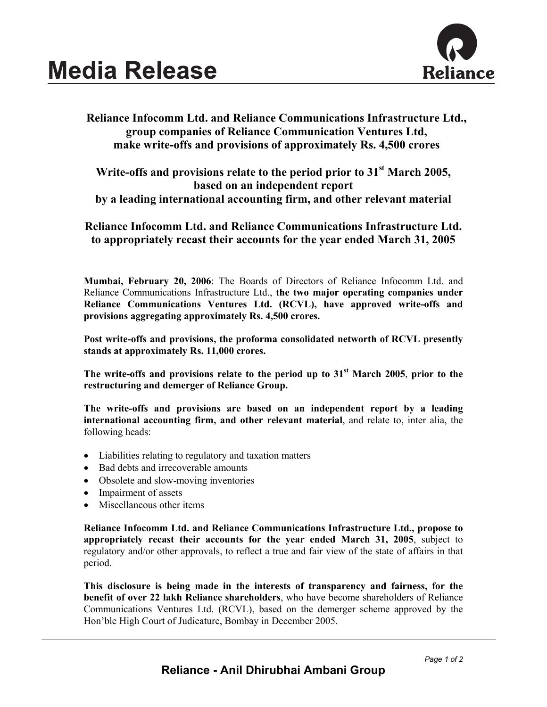

## **Reliance Infocomm Ltd. and Reliance Communications Infrastructure Ltd., group companies of Reliance Communication Ventures Ltd, make write-offs and provisions of approximately Rs. 4,500 crores**

## **Write-offs and provisions relate to the period prior to 31st March 2005, based on an independent report by a leading international accounting firm, and other relevant material**

## **Reliance Infocomm Ltd. and Reliance Communications Infrastructure Ltd. to appropriately recast their accounts for the year ended March 31, 2005**

**Mumbai, February 20, 2006**: The Boards of Directors of Reliance Infocomm Ltd. and Reliance Communications Infrastructure Ltd., **the two major operating companies under Reliance Communications Ventures Ltd. (RCVL), have approved write-offs and provisions aggregating approximately Rs. 4,500 crores.** 

**Post write-offs and provisions, the proforma consolidated networth of RCVL presently stands at approximately Rs. 11,000 crores.**

**The write-offs and provisions relate to the period up to 31st March 2005**, **prior to the restructuring and demerger of Reliance Group.** 

**The write-offs and provisions are based on an independent report by a leading international accounting firm, and other relevant material**, and relate to, inter alia, the following heads:

- Liabilities relating to regulatory and taxation matters
- Bad debts and irrecoverable amounts
- Obsolete and slow-moving inventories
- Impairment of assets
- Miscellaneous other items

**Reliance Infocomm Ltd. and Reliance Communications Infrastructure Ltd., propose to appropriately recast their accounts for the year ended March 31, 2005**, subject to regulatory and/or other approvals, to reflect a true and fair view of the state of affairs in that period.

**This disclosure is being made in the interests of transparency and fairness, for the benefit of over 22 lakh Reliance shareholders**, who have become shareholders of Reliance Communications Ventures Ltd. (RCVL), based on the demerger scheme approved by the Hon'ble High Court of Judicature, Bombay in December 2005.